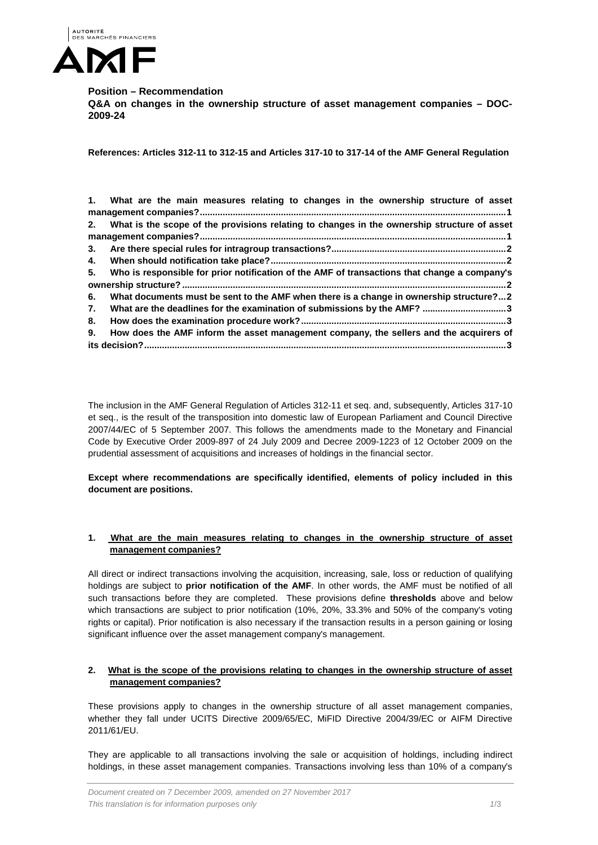

# **Position – Recommendation**

**Q&A on changes in the ownership structure of asset management companies – DOC-2009-24**

**References: Articles 312-11 to 312-15 and Articles 317-10 to 317-14 of the AMF General Regulation**

|    | 1. What are the main measures relating to changes in the ownership structure of asset          |
|----|------------------------------------------------------------------------------------------------|
|    |                                                                                                |
|    | 2. What is the scope of the provisions relating to changes in the ownership structure of asset |
|    |                                                                                                |
| 3. |                                                                                                |
|    |                                                                                                |
| 5. | Who is responsible for prior notification of the AMF of transactions that change a company's   |
|    |                                                                                                |
| 6. | What documents must be sent to the AMF when there is a change in ownership structure?2         |
| 7. | What are the deadlines for the examination of submissions by the AMF? 3                        |
| 8. |                                                                                                |
| 9. | How does the AMF inform the asset management company, the sellers and the acquirers of         |
|    |                                                                                                |

The inclusion in the AMF General Regulation of Articles 312-11 et seq. and, subsequently, Articles 317-10 et seq., is the result of the transposition into domestic law of European Parliament and Council Directive 2007/44/EC of 5 September 2007. This follows the amendments made to the Monetary and Financial Code by Executive Order 2009-897 of 24 July 2009 and Decree 2009-1223 of 12 October 2009 on the prudential assessment of acquisitions and increases of holdings in the financial sector.

## **Except where recommendations are specifically identified, elements of policy included in this document are positions.**

# <span id="page-0-0"></span>**1. What are the main measures relating to changes in the ownership structure of asset management companies?**

All direct or indirect transactions involving the acquisition, increasing, sale, loss or reduction of qualifying holdings are subject to **prior notification of the AMF**. In other words, the AMF must be notified of all such transactions before they are completed. These provisions define **thresholds** above and below which transactions are subject to prior notification (10%, 20%, 33.3% and 50% of the company's voting rights or capital). Prior notification is also necessary if the transaction results in a person gaining or losing significant influence over the asset management company's management.

## <span id="page-0-1"></span>**2. What is the scope of the provisions relating to changes in the ownership structure of asset management companies?**

These provisions apply to changes in the ownership structure of all asset management companies, whether they fall under UCITS Directive 2009/65/EC, MiFID Directive 2004/39/EC or AIFM Directive 2011/61/EU.

They are applicable to all transactions involving the sale or acquisition of holdings, including indirect holdings, in these asset management companies. Transactions involving less than 10% of a company's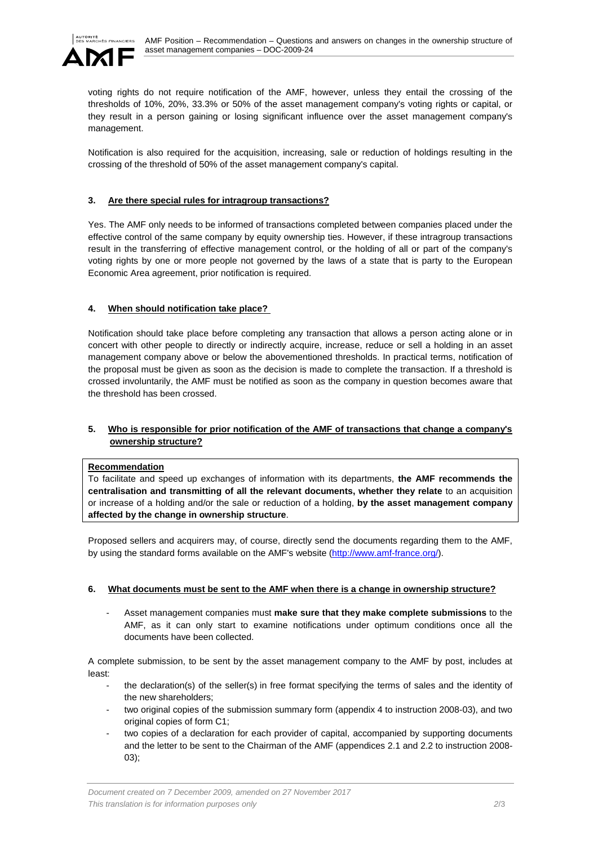

voting rights do not require notification of the AMF, however, unless they entail the crossing of the thresholds of 10%, 20%, 33.3% or 50% of the asset management company's voting rights or capital, or they result in a person gaining or losing significant influence over the asset management company's management.

Notification is also required for the acquisition, increasing, sale or reduction of holdings resulting in the crossing of the threshold of 50% of the asset management company's capital.

# <span id="page-1-0"></span>**3. Are there special rules for intragroup transactions?**

Yes. The AMF only needs to be informed of transactions completed between companies placed under the effective control of the same company by equity ownership ties. However, if these intragroup transactions result in the transferring of effective management control, or the holding of all or part of the company's voting rights by one or more people not governed by the laws of a state that is party to the European Economic Area agreement, prior notification is required.

# <span id="page-1-1"></span>**4. When should notification take place?**

Notification should take place before completing any transaction that allows a person acting alone or in concert with other people to directly or indirectly acquire, increase, reduce or sell a holding in an asset management company above or below the abovementioned thresholds. In practical terms, notification of the proposal must be given as soon as the decision is made to complete the transaction. If a threshold is crossed involuntarily, the AMF must be notified as soon as the company in question becomes aware that the threshold has been crossed.

# <span id="page-1-2"></span>**5. Who is responsible for prior notification of the AMF of transactions that change a company's ownership structure?**

## **Recommendation**

To facilitate and speed up exchanges of information with its departments, **the AMF recommends the centralisation and transmitting of all the relevant documents, whether they relate** to an acquisition or increase of a holding and/or the sale or reduction of a holding, **by the asset management company affected by the change in ownership structure**.

Proposed sellers and acquirers may, of course, directly send the documents regarding them to the AMF, by using the standard forms available on the AMF's website [\(http://www.amf-france.org/\)](http://www.amf-france.org/).

## <span id="page-1-3"></span>**6. What documents must be sent to the AMF when there is a change in ownership structure?**

- Asset management companies must **make sure that they make complete submissions** to the AMF, as it can only start to examine notifications under optimum conditions once all the documents have been collected.

A complete submission, to be sent by the asset management company to the AMF by post, includes at least:

- the declaration(s) of the seller(s) in free format specifying the terms of sales and the identity of the new shareholders;
- two original copies of the submission summary form (appendix 4 to instruction 2008-03), and two original copies of form C1;
- two copies of a declaration for each provider of capital, accompanied by supporting documents and the letter to be sent to the Chairman of the AMF (appendices 2.1 and 2.2 to instruction 2008- 03);